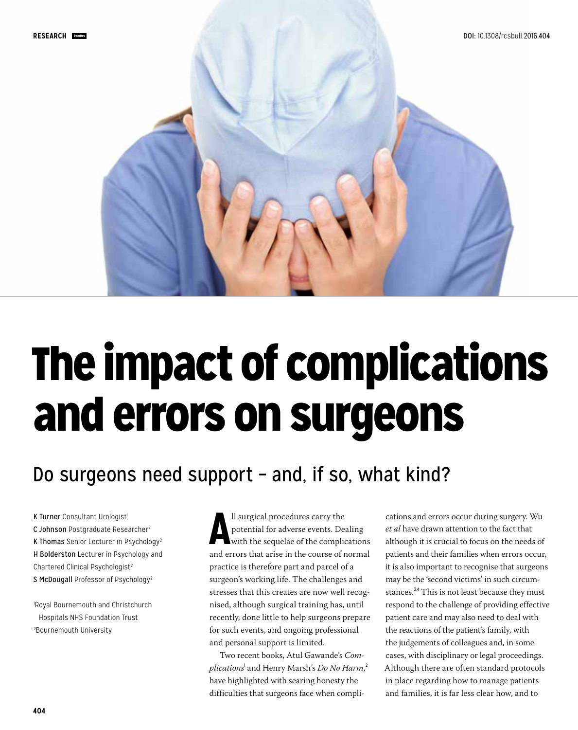

# The impact of complications and errors on surgeons

# Do surgeons need support – and, if so, what kind?

K Turner Consultant Urologist<sup>1</sup> C Johnson Postgraduate Researcher<sup>2</sup> K Thomas Senior Lecturer in Psychology2 H Bolderston Lecturer in Psychology and Chartered Clinical Psychologist<sup>2</sup> S McDougall Professor of Psychology<sup>2</sup>

1 Royal Bournemouth and Christchurch Hospitals NHS Foundation Trust 2 Bournemouth University

II surgical procedures carry the<br>
potential for adverse events. Dealing<br>
with the sequelae of the complications<br>
and errors that arise in the course of normal ll surgical procedures carry the potential for adverse events. Dealing with the sequelae of the complications practice is therefore part and parcel of a surgeon's working life. The challenges and stresses that this creates are now well recognised, although surgical training has, until recently, done little to help surgeons prepare for such events, and ongoing professional and personal support is limited.

Two recent books, Atul Gawande's *Com* $plications^!$  and Henry Marsh's *Do No Harm*, $^2$ have highlighted with searing honesty the difficulties that surgeons face when complications and errors occur during surgery. Wu *et al* have drawn attention to the fact that although it is crucial to focus on the needs of patients and their families when errors occur, it is also important to recognise that surgeons may be the 'second victims' in such circumstances.<sup>3,4</sup> This is not least because they must respond to the challenge of providing effective patient care and may also need to deal with the reactions of the patient's family, with the judgements of colleagues and, in some cases, with disciplinary or legal proceedings. Although there are often standard protocols in place regarding how to manage patients and families, it is far less clear how, and to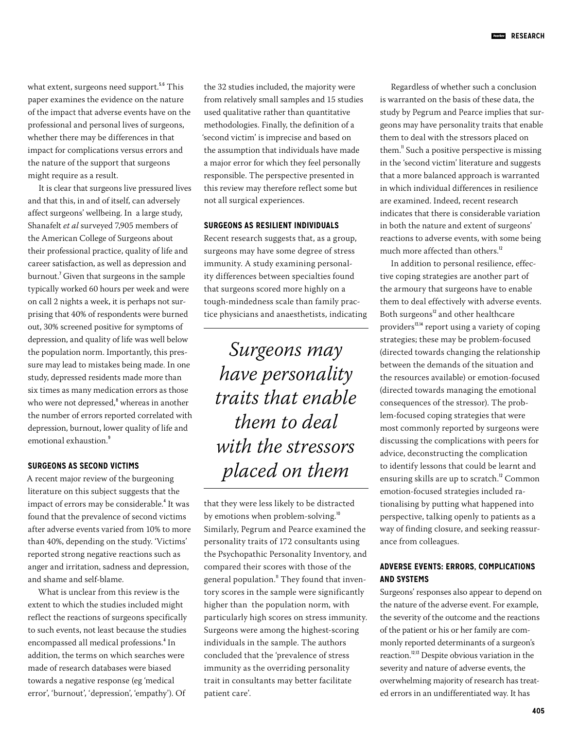what extent, surgeons need support.<sup>5,6</sup> This paper examines the evidence on the nature of the impact that adverse events have on the professional and personal lives of surgeons, whether there may be differences in that impact for complications versus errors and the nature of the support that surgeons might require as a result.

It is clear that surgeons live pressured lives and that this, in and of itself, can adversely affect surgeons' wellbeing. In a large study, Shanafelt *et al* surveyed 7,905 members of the American College of Surgeons about their professional practice, quality of life and career satisfaction, as well as depression and burnout.<sup>7</sup> Given that surgeons in the sample typically worked 60 hours per week and were on call 2 nights a week, it is perhaps not surprising that 40% of respondents were burned out, 30% screened positive for symptoms of depression, and quality of life was well below the population norm. Importantly, this pressure may lead to mistakes being made. In one study, depressed residents made more than six times as many medication errors as those who were not depressed,<sup>8</sup> whereas in another the number of errors reported correlated with depression, burnout, lower quality of life and emotional exhaustion.<sup>9</sup>

#### **SURGEONS AS SECOND VICTIMS**

A recent major review of the burgeoning literature on this subject suggests that the impact of errors may be considerable.<sup>4</sup> It was found that the prevalence of second victims after adverse events varied from 10% to more than 40%, depending on the study. 'Victims' reported strong negative reactions such as anger and irritation, sadness and depression, and shame and self-blame.

What is unclear from this review is the extent to which the studies included might reflect the reactions of surgeons specifically to such events, not least because the studies encompassed all medical professions.<sup>4</sup> In addition, the terms on which searches were made of research databases were biased towards a negative response (eg 'medical error', 'burnout', 'depression', 'empathy'). Of

the 32 studies included, the majority were from relatively small samples and 15 studies used qualitative rather than quantitative methodologies. Finally, the definition of a 'second victim' is imprecise and based on the assumption that individuals have made a major error for which they feel personally responsible. The perspective presented in this review may therefore reflect some but not all surgical experiences.

### **SURGEONS AS RESILIENT INDIVIDUALS**

Recent research suggests that, as a group, surgeons may have some degree of stress immunity. A study examining personality differences between specialties found that surgeons scored more highly on a tough-mindedness scale than family practice physicians and anaesthetists, indicating

*Surgeons may have personality traits that enable them to deal with the stressors placed on them*

that they were less likely to be distracted by emotions when problem-solving.<sup>10</sup> Similarly, Pegrum and Pearce examined the personality traits of 172 consultants using the Psychopathic Personality Inventory, and compared their scores with those of the general population.<sup>11</sup> They found that inventory scores in the sample were significantly higher than the population norm, with particularly high scores on stress immunity. Surgeons were among the highest-scoring individuals in the sample. The authors concluded that the 'prevalence of stress immunity as the overriding personality trait in consultants may better facilitate patient care'.

Regardless of whether such a conclusion is warranted on the basis of these data, the study by Pegrum and Pearce implies that surgeons may have personality traits that enable them to deal with the stressors placed on them.<sup>"</sup> Such a positive perspective is missing in the 'second victim' literature and suggests that a more balanced approach is warranted in which individual differences in resilience are examined. Indeed, recent research indicates that there is considerable variation in both the nature and extent of surgeons' reactions to adverse events, with some being much more affected than others.<sup>12</sup>

In addition to personal resilience, effective coping strategies are another part of the armoury that surgeons have to enable them to deal effectively with adverse events. Both surgeons<sup>12</sup> and other healthcare providers<sup>13,14</sup> report using a variety of coping strategies; these may be problem-focused (directed towards changing the relationship between the demands of the situation and the resources available) or emotion-focused (directed towards managing the emotional consequences of the stressor). The problem-focused coping strategies that were most commonly reported by surgeons were discussing the complications with peers for advice, deconstructing the complication to identify lessons that could be learnt and ensuring skills are up to scratch.<sup>12</sup> Common emotion-focused strategies included rationalising by putting what happened into perspective, talking openly to patients as a way of finding closure, and seeking reassurance from colleagues.

## **ADVERSE EVENTS: ERRORS, COMPLICATIONS AND SYSTEMS**

Surgeons' responses also appear to depend on the nature of the adverse event. For example, the severity of the outcome and the reactions of the patient or his or her family are commonly reported determinants of a surgeon's reaction.12,13 Despite obvious variation in the severity and nature of adverse events, the overwhelming majority of research has treated errors in an undifferentiated way. It has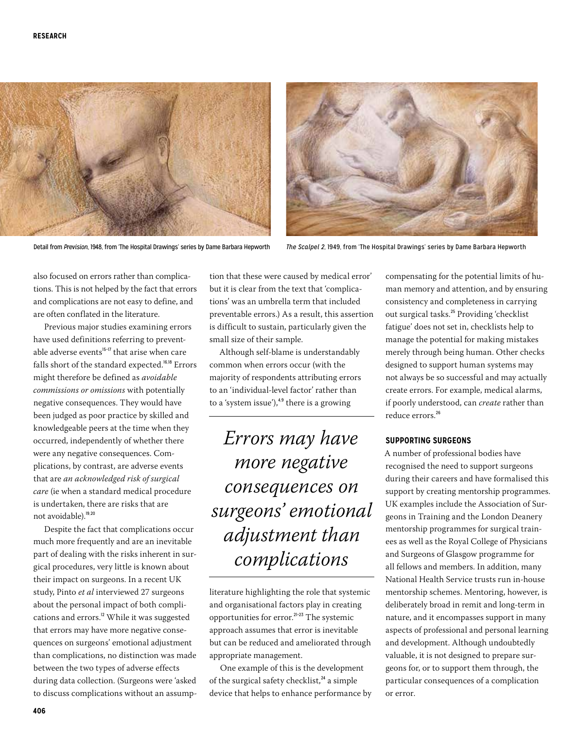



Detail from *Prevision*, 1948, from 'The Hospital Drawings' series by Dame Barbara Hepworth *The Scalpel 2*, 1949, from 'The Hospital Drawings' series by Dame Barbara Hepworth

also focused on errors rather than complications. This is not helped by the fact that errors and complications are not easy to define, and are often conflated in the literature.

Previous major studies examining errors have used definitions referring to preventable adverse events $15-17$  that arise when care falls short of the standard expected.<sup>16,18</sup> Errors might therefore be defined as *avoidable commissions or omissions* with potentially negative consequences. They would have been judged as poor practice by skilled and knowledgeable peers at the time when they occurred, independently of whether there were any negative consequences. Complications, by contrast, are adverse events that are *an acknowledged risk of surgical care* (ie when a standard medical procedure is undertaken, there are risks that are not avoidable).19,20

Despite the fact that complications occur much more frequently and are an inevitable part of dealing with the risks inherent in surgical procedures, very little is known about their impact on surgeons. In a recent UK study, Pinto *et al* interviewed 27 surgeons about the personal impact of both complications and errors.<sup>12</sup> While it was suggested that errors may have more negative consequences on surgeons' emotional adjustment than complications, no distinction was made between the two types of adverse effects during data collection. (Surgeons were 'asked to discuss complications without an assump-

tion that these were caused by medical error' but it is clear from the text that 'complications' was an umbrella term that included preventable errors.) As a result, this assertion is difficult to sustain, particularly given the small size of their sample.

Although self-blame is understandably common when errors occur (with the majority of respondents attributing errors to an 'individual-level factor' rather than to a 'system issue'), $4.9$  there is a growing

*Errors may have more negative consequences on surgeons' emotional adjustment than complications*

literature highlighting the role that systemic and organisational factors play in creating opportunities for error.<sup>21-23</sup> The systemic approach assumes that error is inevitable but can be reduced and ameliorated through appropriate management.

One example of this is the development of the surgical safety checklist, $^{24}$  a simple device that helps to enhance performance by compensating for the potential limits of human memory and attention, and by ensuring consistency and completeness in carrying out surgical tasks.<sup>25</sup> Providing 'checklist fatigue' does not set in, checklists help to manage the potential for making mistakes merely through being human. Other checks designed to support human systems may not always be so successful and may actually create errors. For example, medical alarms, if poorly understood, can *create* rather than reduce errors.<sup>26</sup>

#### **SUPPORTING SURGEONS**

A number of professional bodies have recognised the need to support surgeons during their careers and have formalised this support by creating mentorship programmes. UK examples include the Association of Surgeons in Training and the London Deanery mentorship programmes for surgical trainees as well as the Royal College of Physicians and Surgeons of Glasgow programme for all fellows and members. In addition, many National Health Service trusts run in-house mentorship schemes. Mentoring, however, is deliberately broad in remit and long-term in nature, and it encompasses support in many aspects of professional and personal learning and development. Although undoubtedly valuable, it is not designed to prepare surgeons for, or to support them through, the particular consequences of a complication or error.